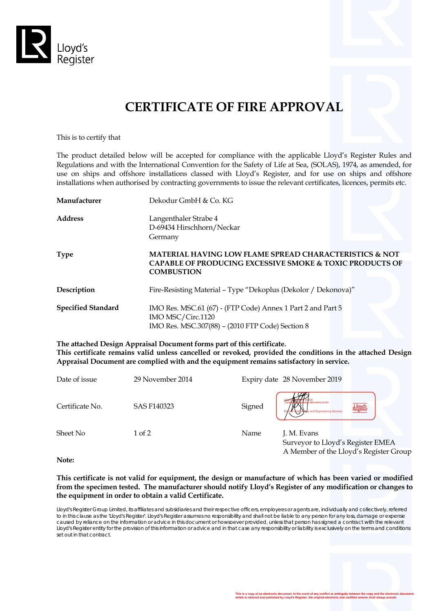

# **CERTIFICATE OF FIRE APPROVAL**

This is to certify that

The product detailed below will be accepted for compliance with the applicable Lloyd's Register Rules and Regulations and with the International Convention for the Safety of Life at Sea, (SOLAS), 1974, as amended, for use on ships and offshore installations classed with Lloyd's Register, and for use on ships and offshore installations when authorised by contracting governments to issue the relevant certificates, licences, permits etc.

| Manufacturer              | Dekodur GmbH & Co. KG                                                                                                                                         |
|---------------------------|---------------------------------------------------------------------------------------------------------------------------------------------------------------|
| <b>Address</b>            | Langenthaler Strabe 4<br>D-69434 Hirschhorn/Neckar<br>Germany                                                                                                 |
| Type                      | <b>MATERIAL HAVING LOW FLAME SPREAD CHARACTERISTICS &amp; NOT</b><br><b>CAPABLE OF PRODUCING EXCESSIVE SMOKE &amp; TOXIC PRODUCTS OF</b><br><b>COMBUSTION</b> |
| Description               | Fire-Resisting Material - Type "Dekoplus (Dekolor / Dekonova)"                                                                                                |
| <b>Specified Standard</b> | IMO Res. MSC.61 (67) - (FTP Code) Annex 1 Part 2 and Part 5<br>IMO MSC/Circ.1120<br>IMO Res. MSC.307(88) - (2010 FTP Code) Section 8                          |

**The attached Design Appraisal Document forms part of this certificate. This certificate remains valid unless cancelled or revoked, provided the conditions in the attached Design Appraisal Document are complied with and the equipment remains satisfactory in service.** 

| Date of issue   | 29 November 2014 | Expiry date 28 November 2019                                                                       |
|-----------------|------------------|----------------------------------------------------------------------------------------------------|
| Certificate No. | SAS F140323      | Wolla 6and : X XETS<br>Signed<br>Lloyd's<br>tegistei<br>and Engineering Services                   |
| Sheet No        | $1$ of $2$       | Name<br>J. M. Evans<br>Surveyor to Lloyd's Register EMEA<br>A Member of the Lloyd's Register Group |

**Note:** 

**This certificate is not valid for equipment, the design or manufacture of which has been varied or modified from the specimen tested. The manufacturer should notify Lloyd's Register of any modification or changes to the equipment in order to obtain a valid Certificate.** 

Lloyd's Register Group Limited, its affiliates and subsidiaries and their respective officers, employees or agents are, individually and collectively, referred to in this clause as the 'Lloyd's Register'. Lloyd's Register assumes no responsibility and shall not be liable to any person for any loss, damage or expense caused by reliance on the information or advice in this document or howsoever provided, unless that person has signed a contract with the relevant Lloyd's Register entity for the provision of this information or advice and in that case any responsibility or liability is exclusively on the terms and conditions set out in that contract.